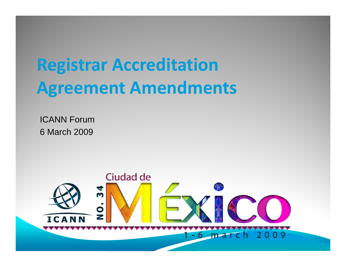## **Registrar Accreditation Agreement Amendments**

ICANN Forum 6 March 2009

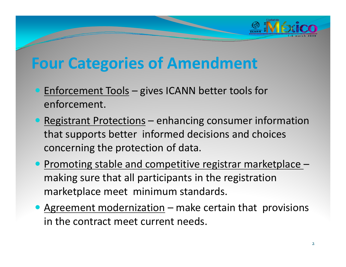

## **Four Categories of Amendment**

- **Enforcement Tools gives ICANN better tools for** enforcement.
- Registrant Protections enhancing consumer information that supports better informed decisions and choices concerning the protection of data.
- Promoting stable and competitive registrar marketplace making sure that all participants in the registration marketplace meet minimum standards.
- Agreement modernization make certain that provisions in the contract meet current needs.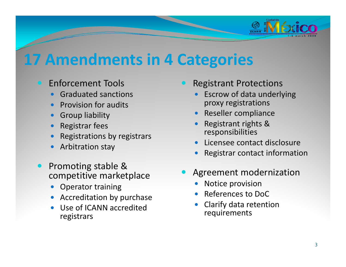

## **17 Amendments in 4 Categories**

- Enforcement Tools
	- $\bullet$ Graduated sanctions
	- $\bullet$ Provision for audits
	- $\bullet$ Group liability
	- $\bullet$ Registrar fees
	- $\bullet$ Registrations by registrars
	- $\bullet$ Arbitration stay
- $\bullet$ • Promoting stable & competitive marketplace
	- $\bullet$ Operator training
	- $\bullet$ Accreditation by purchase
	- $\bullet$  Use of ICANN accredited registrars
- $\bigcirc$  Registrant Protections
	- $\bullet$ **•** Escrow of data underlying proxy registrations
	- $\bullet$ Reseller compliance
	- $\bullet$ • Registrant rights & responsibilities
	- $\bullet$ Licensee contact disclosure
	- $\bullet$ Registrar contact information
- $\bullet$  Agreement modernization
	- $\bullet$ Notice provision
	- $\bullet$ References to DoC
	- $\bullet$  Clarify data retention requirements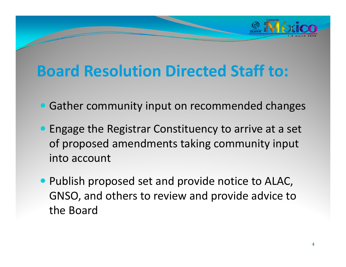

## **Board Resolution Directed Staff to:**

- Gather community input on recommended changes
- **Engage the Registrar Constituency to arrive at a set** of proposed amendments taking community input into account
- Publish proposed set and provide notice to ALAC, GNSO, and others to review and provide advice to the Board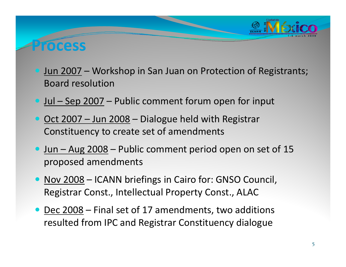

#### **Process**

- Jun 2007 Workshop in San Juan on Protection of Registrants; Board resolution
- <u>• Jul Sep 2007</u> Public comment forum open for input
- Oct 2007 Jun 2008 Dialogue held with Registrar Constituency to create set of amendments
- Jun Aug 2008 Public comment period open on set of 15 proposed amendments
- Nov 2008 ICANN briefings in Cairo for: GNSO Council, Registrar Const., Intellectual Property Const., ALAC
- Dec 2008 Final set of 17 amendments, two additions resulted from IPC and Registrar Constituency dialogue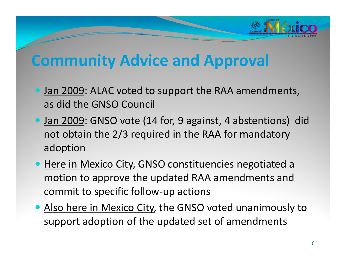

### **Community Advice and Approval**

- **Jan 2009: ALAC voted to support the RAA amendments,** as did the GNSO Council
- **Jan 2009: GNSO vote (14 for, 9 against, 4 abstentions) did** not obtain the 2/3 required in the RAA for mandatory adoption
- **Here in Mexico City, GNSO constituencies negotiated a** motion to approve the updated RAA amendments and commit to specific follow‐up actions
- Also here in Mexico City, the GNSO voted unanimously to support adoption of the updated set of amendments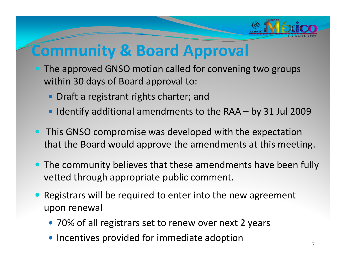

## **Community & Board Approval**

- The approved GNSO motion called for convening two groups within 30 days of Board approval to:
	- Draft a registrant rights charter; and
	- $\bullet$  Identify additional amendments to the RAA by 31 Jul 2009
- This GNSO compromise was developed with the expectation that the Board would approve the amendments at this meeting.
- The community believes that these amendments have been fully vetted through appropriate public comment.
- $\bullet$  Registrars will be required to enter into the new agreement upon renewal
	- 70% of all registrars set to renew over next 2 years
	- $\bullet$  Incentives provided for immediate adoption  $\overline{7}$